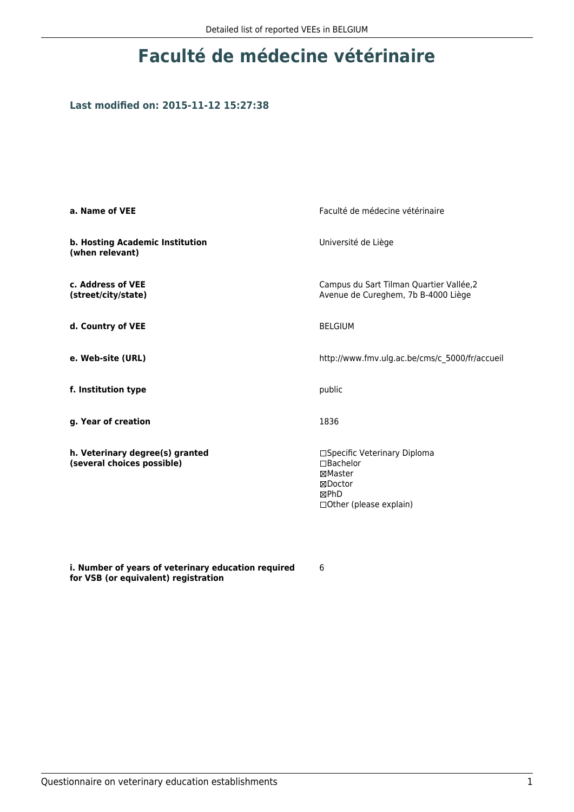## **Faculté de médecine vétérinaire**

#### **Last modified on: 2015-11-12 15:27:38**

| a. Name of VEE                                                | Faculté de médecine vétérinaire                                                                           |  |
|---------------------------------------------------------------|-----------------------------------------------------------------------------------------------------------|--|
| b. Hosting Academic Institution<br>(when relevant)            | Université de Liège                                                                                       |  |
| c. Address of VEE<br>(street/city/state)                      | Campus du Sart Tilman Quartier Vallée, 2<br>Avenue de Cureghem, 7b B-4000 Liège                           |  |
| d. Country of VEE                                             | <b>BELGIUM</b>                                                                                            |  |
| e. Web-site (URL)                                             | http://www.fmv.ulg.ac.be/cms/c_5000/fr/accueil                                                            |  |
| f. Institution type                                           | public                                                                                                    |  |
| g. Year of creation                                           | 1836                                                                                                      |  |
| h. Veterinary degree(s) granted<br>(several choices possible) | □Specific Veterinary Diploma<br>$\Box$ Bachelor<br>⊠Master<br>⊠Doctor<br>⊠PhD<br>□ Other (please explain) |  |

**i. Number of years of veterinary education required for VSB (or equivalent) registration**

6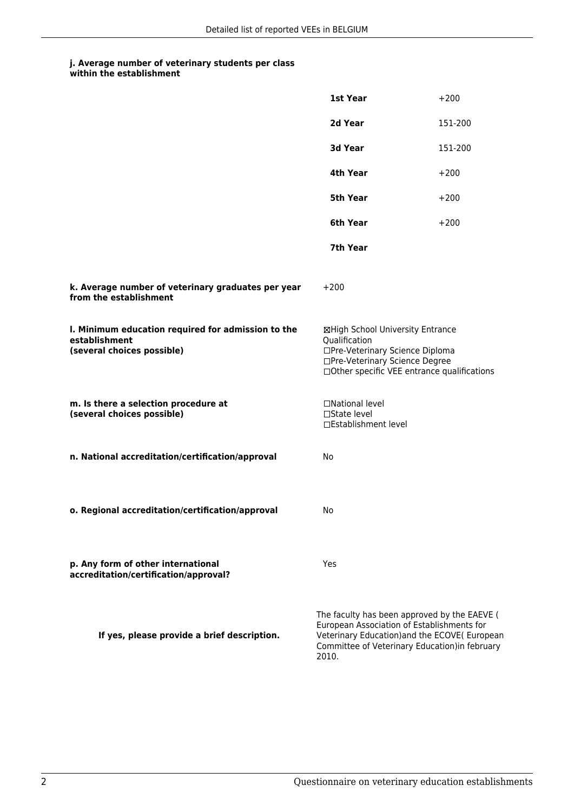### **j. Average number of veterinary students per class**

| within the establishment |
|--------------------------|
|                          |

|                                                                                                   | 1st Year                                                                                                                                                                                              | $+200$  |
|---------------------------------------------------------------------------------------------------|-------------------------------------------------------------------------------------------------------------------------------------------------------------------------------------------------------|---------|
|                                                                                                   | 2d Year                                                                                                                                                                                               | 151-200 |
|                                                                                                   | 3d Year                                                                                                                                                                                               | 151-200 |
|                                                                                                   | 4th Year                                                                                                                                                                                              | $+200$  |
|                                                                                                   | 5th Year                                                                                                                                                                                              | $+200$  |
|                                                                                                   | 6th Year                                                                                                                                                                                              | $+200$  |
|                                                                                                   | 7th Year                                                                                                                                                                                              |         |
| k. Average number of veterinary graduates per year<br>from the establishment                      | $+200$                                                                                                                                                                                                |         |
| I. Minimum education required for admission to the<br>establishment<br>(several choices possible) | ⊠High School University Entrance<br>Qualification<br>□Pre-Veterinary Science Diploma<br>□Pre-Veterinary Science Degree<br>□Other specific VEE entrance qualifications                                 |         |
| m. Is there a selection procedure at<br>(several choices possible)                                | □National level<br>□State level<br>□Establishment level                                                                                                                                               |         |
| n. National accreditation/certification/approval                                                  | No                                                                                                                                                                                                    |         |
| o. Regional accreditation/certification/approval                                                  | No                                                                                                                                                                                                    |         |
| p. Any form of other international<br>accreditation/certification/approval?                       | Yes                                                                                                                                                                                                   |         |
| If yes, please provide a brief description.                                                       | The faculty has been approved by the EAEVE (<br>European Association of Establishments for<br>Veterinary Education) and the ECOVE(European<br>Committee of Veterinary Education) in february<br>2010. |         |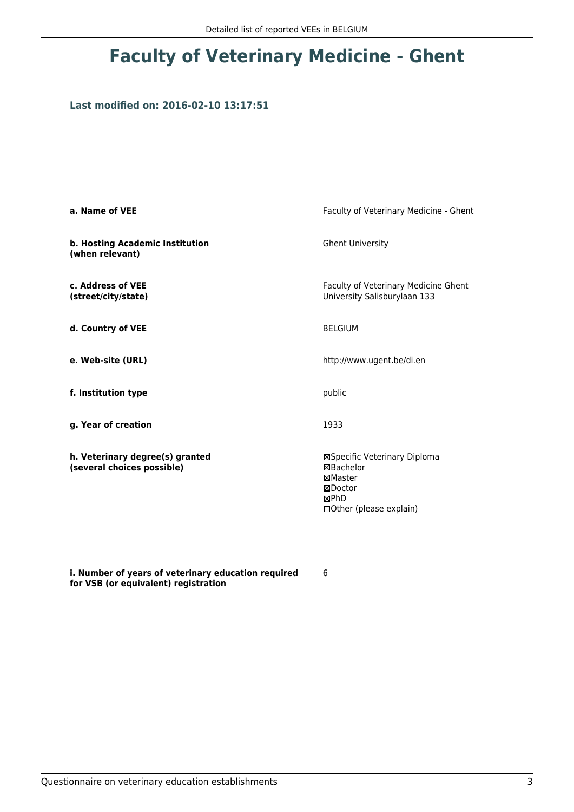# **Faculty of Veterinary Medicine - Ghent**

#### **Last modified on: 2016-02-10 13:17:51**

| a. Name of VEE                                                | Faculty of Veterinary Medicine - Ghent                                                                          |  |
|---------------------------------------------------------------|-----------------------------------------------------------------------------------------------------------------|--|
| b. Hosting Academic Institution<br>(when relevant)            | <b>Ghent University</b>                                                                                         |  |
| c. Address of VEE<br>(street/city/state)                      | Faculty of Veterinary Medicine Ghent<br>University Salisburylaan 133                                            |  |
| d. Country of VEE                                             | <b>BELGIUM</b>                                                                                                  |  |
| e. Web-site (URL)                                             | http://www.ugent.be/di.en                                                                                       |  |
| f. Institution type                                           | public                                                                                                          |  |
| g. Year of creation                                           | 1933                                                                                                            |  |
| h. Veterinary degree(s) granted<br>(several choices possible) | ⊠Specific Veterinary Diploma<br><b>⊠Bachelor</b><br>⊠Master<br>⊠Doctor<br>⊠PhD<br>$\Box$ Other (please explain) |  |

**i. Number of years of veterinary education required for VSB (or equivalent) registration**

6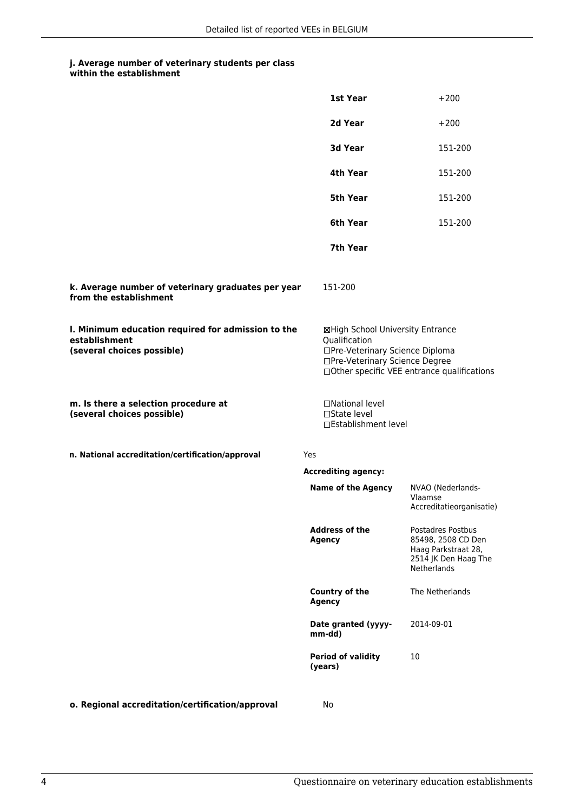### **j. Average number of veterinary students per class**

|                                                                                                   | 1st Year                                                                                                               | $+200$                                                                                                       |
|---------------------------------------------------------------------------------------------------|------------------------------------------------------------------------------------------------------------------------|--------------------------------------------------------------------------------------------------------------|
|                                                                                                   | 2d Year                                                                                                                | $+200$                                                                                                       |
|                                                                                                   | 3d Year                                                                                                                | 151-200                                                                                                      |
|                                                                                                   | 4th Year                                                                                                               | 151-200                                                                                                      |
|                                                                                                   | 5th Year                                                                                                               | 151-200                                                                                                      |
|                                                                                                   | 6th Year                                                                                                               | 151-200                                                                                                      |
|                                                                                                   | 7th Year                                                                                                               |                                                                                                              |
| k. Average number of veterinary graduates per year<br>from the establishment                      | 151-200                                                                                                                |                                                                                                              |
| I. Minimum education required for admission to the<br>establishment<br>(several choices possible) | ⊠High School University Entrance<br>Qualification<br>□Pre-Veterinary Science Diploma<br>□Pre-Veterinary Science Degree | □Other specific VEE entrance qualifications                                                                  |
| m. Is there a selection procedure at<br>(several choices possible)                                | □National level<br>□State level<br>□Establishment level                                                                |                                                                                                              |
| n. National accreditation/certification/approval                                                  | Yes                                                                                                                    |                                                                                                              |
|                                                                                                   | <b>Accrediting agency:</b>                                                                                             |                                                                                                              |
|                                                                                                   | <b>Name of the Agency</b>                                                                                              | NVAO (Nederlands-<br>Vlaamse<br>Accreditatieorganisatie)                                                     |
|                                                                                                   | <b>Address of the</b><br><b>Agency</b>                                                                                 | Postadres Postbus<br>85498, 2508 CD Den<br>Haag Parkstraat 28,<br>2514 JK Den Haag The<br><b>Netherlands</b> |
|                                                                                                   | Country of the<br><b>Agency</b>                                                                                        | The Netherlands                                                                                              |
|                                                                                                   | Date granted (yyyy-<br>mm-dd)                                                                                          | 2014-09-01                                                                                                   |
|                                                                                                   | <b>Period of validity</b><br>(years)                                                                                   | 10                                                                                                           |
| o. Regional accreditation/certification/approval                                                  | No                                                                                                                     |                                                                                                              |